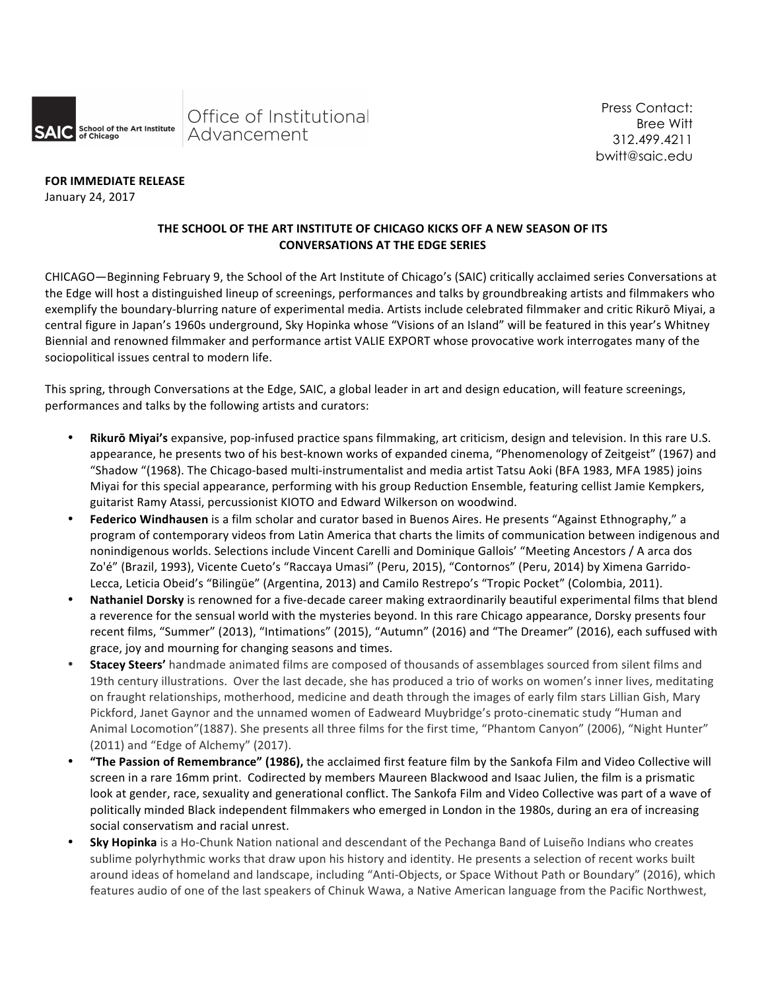

Press Contact: Bree Witt 312.499.4211 bwitt@saic.edu

**FOR IMMEDIATE RELEASE** 

January 24, 2017

# THE SCHOOL OF THE ART INSTITUTE OF CHICAGO KICKS OFF A NEW SEASON OF ITS **CONVERSATIONS AT THE EDGE SERIES**

CHICAGO—Beginning February 9, the School of the Art Institute of Chicago's (SAIC) critically acclaimed series Conversations at the Edge will host a distinguished lineup of screenings, performances and talks by groundbreaking artists and filmmakers who exemplify the boundary-blurring nature of experimental media. Artists include celebrated filmmaker and critic Rikurō Miyai, a central figure in Japan's 1960s underground, Sky Hopinka whose "Visions of an Island" will be featured in this year's Whitney Biennial and renowned filmmaker and performance artist VALIE EXPORT whose provocative work interrogates many of the sociopolitical issues central to modern life.

This spring, through Conversations at the Edge, SAIC, a global leader in art and design education, will feature screenings, performances and talks by the following artists and curators:

- Rikurō Miyai's expansive, pop-infused practice spans filmmaking, art criticism, design and television. In this rare U.S. appearance, he presents two of his best-known works of expanded cinema, "Phenomenology of Zeitgeist" (1967) and "Shadow "(1968). The Chicago-based multi-instrumentalist and media artist Tatsu Aoki (BFA 1983, MFA 1985) joins Miyai for this special appearance, performing with his group Reduction Ensemble, featuring cellist Jamie Kempkers, guitarist Ramy Atassi, percussionist KIOTO and Edward Wilkerson on woodwind.
- **Federico Windhausen** is a film scholar and curator based in Buenos Aires. He presents "Against Ethnography," a program of contemporary videos from Latin America that charts the limits of communication between indigenous and nonindigenous worlds. Selections include Vincent Carelli and Dominique Gallois' "Meeting Ancestors / A arca dos Zo'é" (Brazil, 1993), Vicente Cueto's "Raccaya Umasi" (Peru, 2015), "Contornos" (Peru, 2014) by Ximena Garrido-Lecca, Leticia Obeid's "Bilingüe" (Argentina, 2013) and Camilo Restrepo's "Tropic Pocket" (Colombia, 2011).
- Nathaniel Dorsky is renowned for a five-decade career making extraordinarily beautiful experimental films that blend a reverence for the sensual world with the mysteries beyond. In this rare Chicago appearance, Dorsky presents four recent films, "Summer" (2013), "Intimations" (2015), "Autumn" (2016) and "The Dreamer" (2016), each suffused with grace, joy and mourning for changing seasons and times.
- **Stacey Steers'** handmade animated films are composed of thousands of assemblages sourced from silent films and 19th century illustrations. Over the last decade, she has produced a trio of works on women's inner lives, meditating on fraught relationships, motherhood, medicine and death through the images of early film stars Lillian Gish, Mary Pickford, Janet Gaynor and the unnamed women of Eadweard Muybridge's proto-cinematic study "Human and Animal Locomotion"(1887). She presents all three films for the first time, "Phantom Canyon" (2006), "Night Hunter" (2011) and "Edge of Alchemy" (2017).
- \* "The Passion of Remembrance" (1986), the acclaimed first feature film by the Sankofa Film and Video Collective will screen in a rare 16mm print. Codirected by members Maureen Blackwood and Isaac Julien, the film is a prismatic look at gender, race, sexuality and generational conflict. The Sankofa Film and Video Collective was part of a wave of politically minded Black independent filmmakers who emerged in London in the 1980s, during an era of increasing social conservatism and racial unrest.
- **Sky Hopinka** is a Ho-Chunk Nation national and descendant of the Pechanga Band of Luiseño Indians who creates sublime polyrhythmic works that draw upon his history and identity. He presents a selection of recent works built around ideas of homeland and landscape, including "Anti-Objects, or Space Without Path or Boundary" (2016), which features audio of one of the last speakers of Chinuk Wawa, a Native American language from the Pacific Northwest,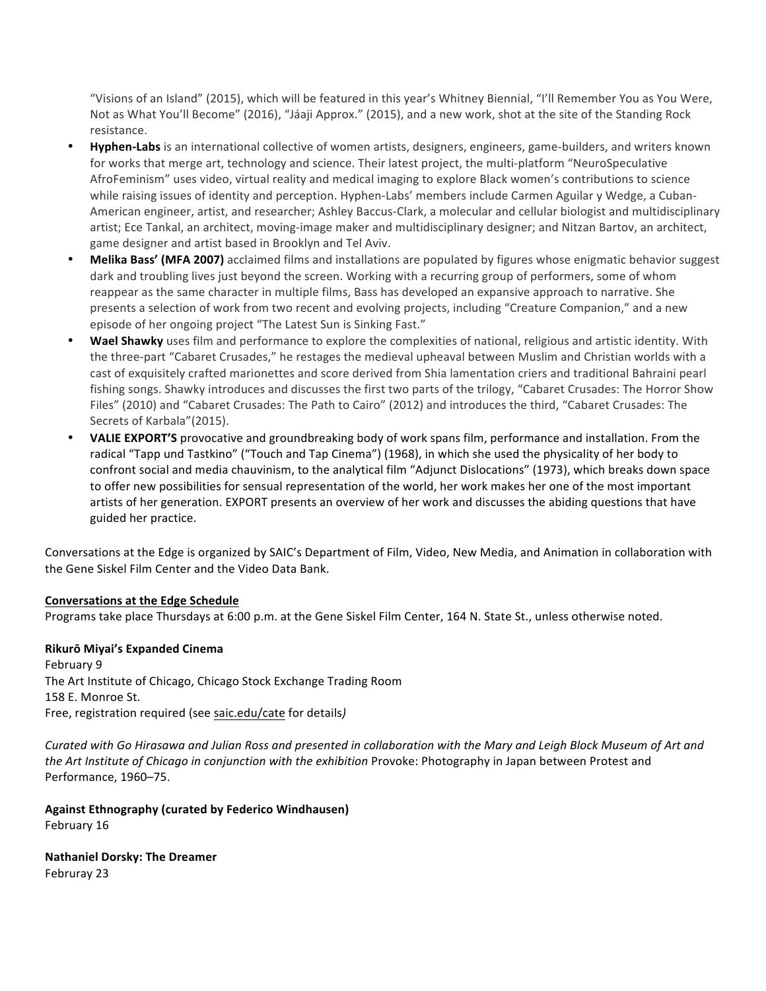"Visions of an Island" (2015), which will be featured in this year's Whitney Biennial, "I'll Remember You as You Were, Not as What You'll Become" (2016), "Jáaji Approx." (2015), and a new work, shot at the site of the Standing Rock resistance.

- **Hyphen-Labs** is an international collective of women artists, designers, engineers, game-builders, and writers known for works that merge art, technology and science. Their latest project, the multi-platform "NeuroSpeculative AfroFeminism" uses video, virtual reality and medical imaging to explore Black women's contributions to science while raising issues of identity and perception. Hyphen-Labs' members include Carmen Aguilar y Wedge, a Cuban-American engineer, artist, and researcher; Ashley Baccus-Clark, a molecular and cellular biologist and multidisciplinary artist; Ece Tankal, an architect, moving-image maker and multidisciplinary designer; and Nitzan Bartov, an architect, game designer and artist based in Brooklyn and Tel Aviv.
- **Melika Bass' (MFA 2007)** acclaimed films and installations are populated by figures whose enigmatic behavior suggest dark and troubling lives just beyond the screen. Working with a recurring group of performers, some of whom reappear as the same character in multiple films, Bass has developed an expansive approach to narrative. She presents a selection of work from two recent and evolving projects, including "Creature Companion," and a new episode of her ongoing project "The Latest Sun is Sinking Fast."
- **Wael Shawky** uses film and performance to explore the complexities of national, religious and artistic identity. With the three-part "Cabaret Crusades," he restages the medieval upheaval between Muslim and Christian worlds with a cast of exquisitely crafted marionettes and score derived from Shia lamentation criers and traditional Bahraini pearl fishing songs. Shawky introduces and discusses the first two parts of the trilogy, "Cabaret Crusades: The Horror Show Files" (2010) and "Cabaret Crusades: The Path to Cairo" (2012) and introduces the third, "Cabaret Crusades: The Secrets of Karbala"(2015).
- VALIE EXPORT'S provocative and groundbreaking body of work spans film, performance and installation. From the radical "Tapp und Tastkino" ("Touch and Tap Cinema") (1968), in which she used the physicality of her body to confront social and media chauvinism, to the analytical film "Adjunct Dislocations" (1973), which breaks down space to offer new possibilities for sensual representation of the world, her work makes her one of the most important artists of her generation. EXPORT presents an overview of her work and discusses the abiding questions that have guided her practice.

Conversations at the Edge is organized by SAIC's Department of Film, Video, New Media, and Animation in collaboration with the Gene Siskel Film Center and the Video Data Bank.

## **Conversations at the Edge Schedule**

Programs take place Thursdays at 6:00 p.m. at the Gene Siskel Film Center, 164 N. State St., unless otherwise noted.

### **Rikurō Miyai's Expanded Cinema**

February 9 The Art Institute of Chicago, Chicago Stock Exchange Trading Room 158 E. Monroe St. Free, registration required (see saic.edu/cate for details)

*Curated with Go Hirasawa and Julian Ross and presented in collaboration with the Mary and Leigh Block Museum of Art and the Art Institute of Chicago in conjunction with the exhibition Provoke: Photography in Japan between Protest and* Performance, 1960-75.

**Against Ethnography (curated by Federico Windhausen)** February 16

**Nathaniel Dorsky: The Dreamer** Februray 23